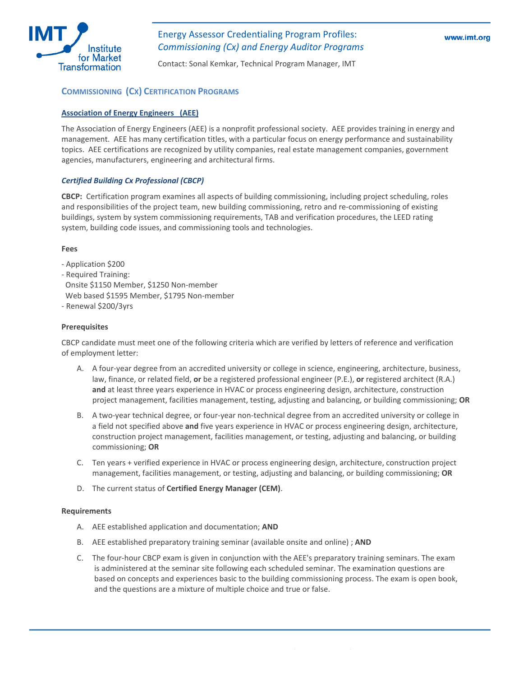

Contact: Sonal Kemkar, Technical Program Manager, IMT

# **COMMISSIONING (CX) CERTIFICATION PROGRAMS**

#### **[Association](http://www.aeecenter.org/) of Energy Engineers (AEE)**

The Association of Energy Engineers (AEE) is a nonprofit professional society. AEE provides training in energy and management. AEE has many certification titles, with a particular focus on energy performance and sustainability topics. AEE certifications are recognized by utility companies, real estate management companies, government agencies, manufacturers, engineering and architectural firms.

## *Certified Building Cx [Professional](http://www.aeecenter.org/certification/CEMpage.htm) (CBCP)*

**CBCP:** Certification program examines all aspects of building commissioning, including project scheduling, roles and responsibilities of the project team, new building commissioning, retro and re‐commissioning of existing buildings, system by system commissioning requirements, TAB and verification procedures, the LEED rating system, building code issues, and commissioning tools and technologies.

#### **Fees**

‐ Application \$200

‐ Required Training: Onsite \$1150 Member, \$1250 Non‐member Web based \$1595 Member, \$1795 Non-member

‐ Renewal \$200/3yrs

## **Prerequisites**

CBCP candidate must meet one of the following criteria which are verified by letters of reference and verification of employment letter:

- A. A four-year degree from an accredited university or college in science, engineering, architecture, business, law, finance, or related field, **or** be a registered professional engineer (P.E.), **or** registered architect (R.A.) **and** at least three years experience in HVAC or process engineering design, architecture, construction project management, facilities management, testing, adjusting and balancing, or building commissioning; **OR**
- B. A two‐year technical degree, or four‐year non‐technical degree from an accredited university or college in a field not specified above **and** five years experience in HVAC or process engineering design, architecture, construction project management, facilities management, or testing, adjusting and balancing, or building commissioning; **OR**
- C. Ten years + verified experience in HVAC or process engineering design, architecture, construction project management, facilities management, or testing, adjusting and balancing, or building commissioning; **OR**
- D. The current status of **Certified Energy Manager (CEM)**.

- A. AEE established application and documentation; **AND**
- B. AEE established preparatory training seminar (available onsite and online) ; **AND**
- C. The four‐hour CBCP exam is given in conjunction with the AEE's preparatory training seminars. The exam is administered at the seminar site following each scheduled seminar. The examination questions are based on concepts and experiences basic to the building commissioning process. The exam is open book, and the questions are a mixture of multiple choice and true or false.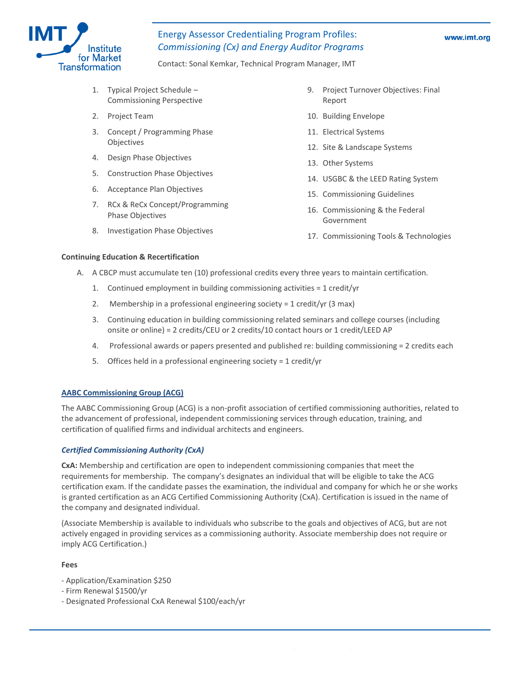

Contact: Sonal Kemkar, Technical Program Manager, IMT

- 1. Typical Project Schedule Commissioning Perspective
- 2. Project Team
- 3. Concept / Programming Phase Objectives
- 4. Design Phase Objectives
- 5. Construction Phase Objectives
- 6. Acceptance Plan Objectives
- 7. RCx & ReCx Concept/Programming Phase Objectives
- 8. Investigation Phase Objectives
- 9. Project Turnover Objectives: Final Report
- 10. Building Envelope
- 11. Electrical Systems
- 12. Site & Landscape Systems
- 13. Other Systems
- 14. USGBC & the LEED Rating System
- 15. Commissioning Guidelines
- 16. Commissioning & the Federal Government
- 17. Commissioning Tools & Technologies

#### **Continuing Education & Recertification**

- A. A CBCP must accumulate ten (10) professional credits every three years to maintain certification.
	- 1. Continued employment in building commissioning activities = 1 credit/yr
	- 2. Membership in a professional engineering society = 1 credit/yr (3 max)
	- 3. Continuing education in building commissioning related seminars and college courses (including onsite or online) = 2 credits/CEU or 2 credits/10 contact hours or 1 credit/LEED AP
	- 4. Professional awards or papers presented and published re: building commissioning = 2 credits each
	- 5. Offices held in a professional engineering society = 1 credit/yr

## **AABC [Commissioning](http://www.commissioning.org/) Group (ACG)**

The AABC Commissioning Group (ACG) is a non‐profit association of certified commissioning authorities, related to the advancement of professional, independent commissioning services through education, training, and certification of qualified firms and individual architects and engineers.

## *Certified [Commissioning](http://www.commissioning.org/membershipcertification/default.aspx) Authority (CxA)*

**CxA:** Membership and certification are open to independent commissioning companies that meet the requirements for membership. The company's designates an individual that will be eligible to take the ACG certification exam. If the candidate passes the examination, the individual and company for which he or she works is granted certification as an ACG Certified Commissioning Authority (CxA). Certification is issued in the name of the company and designated individual.

(Associate Membership is available to individuals who subscribe to the goals and objectives of ACG, but are not actively engaged in providing services as a commissioning authority. Associate membership does not require or imply ACG Certification.)

#### **Fees**

- ‐ Application/Examination \$250
- ‐ Firm Renewal \$1500/yr
- ‐ Designated Professional CxA Renewal \$100/each/yr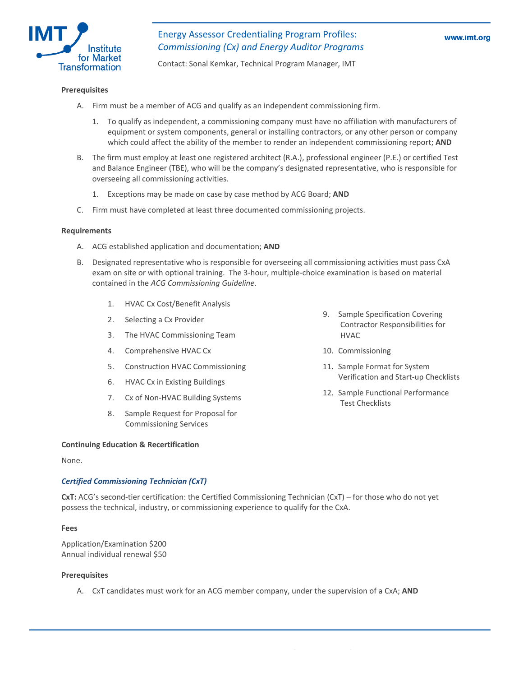

Contact: Sonal Kemkar, Technical Program Manager, IMT

#### **Prerequisites**

- A. Firm must be a member of ACG and qualify as an independent commissioning firm.
	- 1. To qualify as independent, a commissioning company must have no affiliation with manufacturers of equipment or system components, general or installing contractors, or any other person or company which could affect the ability of the member to render an independent commissioning report; **AND**
- B. The firm must employ at least one registered architect (R.A.), professional engineer (P.E.) or certified Test and Balance Engineer (TBE), who will be the company's designated representative, who is responsible for overseeing all commissioning activities.
	- 1. Exceptions may be made on case by case method by ACG Board; **AND**
- C. Firm must have completed at least three documented commissioning projects.

#### **Requirements**

- A. ACG established application and documentation; **AND**
- B. Designated representative who is responsible for overseeing all commissioning activities must pass CxA exam on site or with optional training. The 3‐hour, multiple‐choice examination is based on material contained in the *ACG Commissioning Guideline*.
	- 1. HVAC Cx Cost/Benefit Analysis
	- 2. Selecting a Cx Provider
	- 3. The HVAC Commissioning Team
	- 4. Comprehensive HVAC Cx
	- 5. Construction HVAC Commissioning
	- 6. HVAC Cx in Existing Buildings
	- 7. Cx of Non-HVAC Building Systems
	- 8. Sample Request for Proposal for Commissioning Services
- **Continuing Education & Recertification**

None.

#### *Certified [Commissioning](http://www.commissioning.org/membershipcertification/commissioningtechnician.aspx) Technician (CxT)*

**CxT:** ACG's second‐tier certification: the Certified Commissioning Technician (CxT) – for those who do not yet possess the technical, industry, or commissioning experience to qualify for the CxA.

#### **Fees**

Application/Examination \$200 Annual individual renewal \$50

#### **Prerequisites**

A. CxT candidates must work for an ACG member company, under the supervision of a CxA; **AND**

- 9. Sample Specification Covering Contractor Responsibilities for HVAC
- 10. Commissioning
- 11. Sample Format for System Verification and Start‐up Checklists
- 12. Sample Functional Performance Test Checklists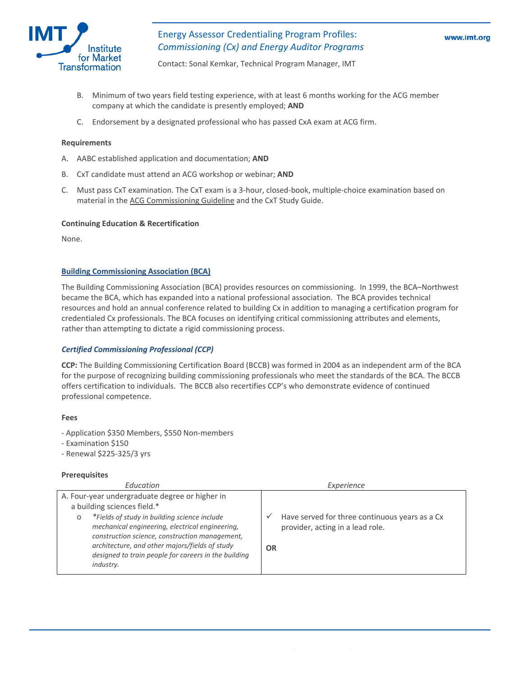

Contact: Sonal Kemkar, Technical Program Manager, IMT

- B. Minimum of two years field testing experience, with at least 6 months working for the ACG member company at which the candidate is presently employed; **AND**
- C. Endorsement by a designated professional who has passed CxA exam at ACG firm.

#### **Requirements**

- A. AABC established application and documentation; **AND**
- B. CxT candidate must attend an ACG workshop or webinar; **AND**
- C. Must pass CxT examination. The CxT exam is a 3‐hour, closed‐book, multiple‐choice examination based on material in the ACG [Commissioning](http://www.commissioning.org/commissioningguideline/) Guideline and the CxT Study Guide.

#### **Continuing Education & Recertification**

None.

#### **Building [Commissioning](http://www.bcxa.org/) Association (BCA)**

The Building Commissioning Association (BCA) provides resources on commissioning. In 1999, the BCA–Northwest became the BCA, which has expanded into a national professional association. The BCA provides technical resources and hold an annual conference related to building Cx in addition to managing a certification program for credentialed Cx professionals. The BCA focuses on identifying critical commissioning attributes and elements, rather than attempting to dictate a rigid commissioning process.

#### *Certified [Commissioning](http://www.bcxa.org/certification/index.htm) Professional (CCP)*

**CCP:** The Building Commissioning Certification Board (BCCB) was formed in 2004 as an independent arm of the BCA for the purpose of recognizing building commissioning professionals who meet the standards of the BCA. The BCCB offers certification to individuals. The BCCB also recertifies CCP's who demonstrate evidence of continued professional competence.

#### **Fees**

- ‐ Application \$350 Members, \$550 Non‐members
- ‐ Examination \$150
- ‐ Renewal \$225‐325/3 yrs

#### **Prerequisites**

| Education                                                                                                                                                                                                                                                                           | Experience                                                                                      |
|-------------------------------------------------------------------------------------------------------------------------------------------------------------------------------------------------------------------------------------------------------------------------------------|-------------------------------------------------------------------------------------------------|
| A. Four-year undergraduate degree or higher in<br>a building sciences field.*                                                                                                                                                                                                       |                                                                                                 |
| *Fields of study in building science include<br>$\circ$<br>mechanical engineering, electrical engineering,<br>construction science, construction management,<br>architecture, and other majors/fields of study<br>designed to train people for careers in the building<br>industry. | Have served for three continuous years as a Cx<br>provider, acting in a lead role.<br><b>OR</b> |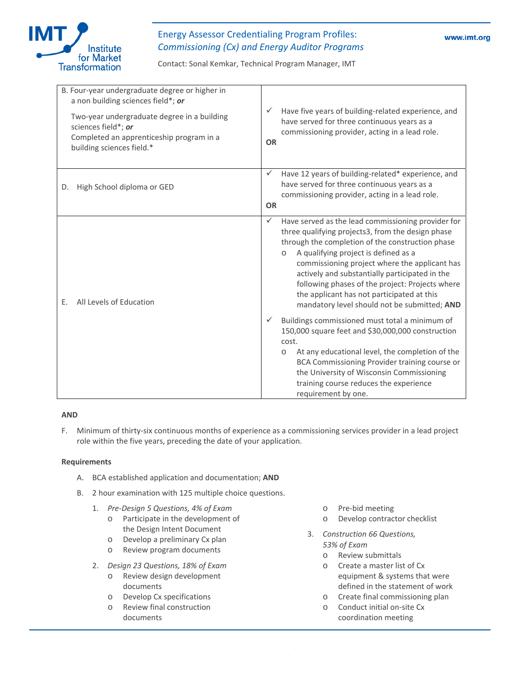

Contact: Sonal Kemkar, Technical Program Manager, IMT

| Have five years of building-related experience, and<br>✓<br>have served for three continuous years as a<br>commissioning provider, acting in a lead role.<br><b>OR</b>                                                                                                                                                                                                                                                                                                                                                                                                                                                                                                                                                                                                                                                   |
|--------------------------------------------------------------------------------------------------------------------------------------------------------------------------------------------------------------------------------------------------------------------------------------------------------------------------------------------------------------------------------------------------------------------------------------------------------------------------------------------------------------------------------------------------------------------------------------------------------------------------------------------------------------------------------------------------------------------------------------------------------------------------------------------------------------------------|
| Have 12 years of building-related* experience, and<br>$\checkmark$<br>have served for three continuous years as a<br>commissioning provider, acting in a lead role.<br><b>OR</b>                                                                                                                                                                                                                                                                                                                                                                                                                                                                                                                                                                                                                                         |
| $\checkmark$<br>Have served as the lead commissioning provider for<br>three qualifying projects3, from the design phase<br>through the completion of the construction phase<br>A qualifying project is defined as a<br>$\circ$<br>commissioning project where the applicant has<br>actively and substantially participated in the<br>following phases of the project: Projects where<br>the applicant has not participated at this<br>mandatory level should not be submitted; AND<br>Buildings commissioned must total a minimum of<br>$\checkmark$<br>150,000 square feet and \$30,000,000 construction<br>cost.<br>At any educational level, the completion of the<br>$\circ$<br>BCA Commissioning Provider training course or<br>the University of Wisconsin Commissioning<br>training course reduces the experience |
|                                                                                                                                                                                                                                                                                                                                                                                                                                                                                                                                                                                                                                                                                                                                                                                                                          |

## **AND**

F. Minimum of thirty-six continuous months of experience as a commissioning services provider in a lead project role within the five years, preceding the date of your application.

- A. BCA established application and documentation; **AND**
- . B. 2 hour examination with 125 multiple choice questions
	- 1. *Pre‐Design 5 Questions, 4% of Exam*
		- o Participate in the development of the Design Intent Document
		- o Develop a preliminary Cx plan
		- o Review program documents
	- 2. *Design 23 Questions, 18% of Exam*
		- o Review design development documents
		- o Develop Cx specifications
		- o Review final construction documents
- o Pre‐bid meeting
- o Develop contractor checklist
- 3. *Construction 66 Questions, 53% of Exam*
	- o Review submittals
	- o Create a master list of Cx equipment & systems that were defined in the statement of work
	- o Create final commissioning plan
	- o Conduct initial on-site Cx coordination meeting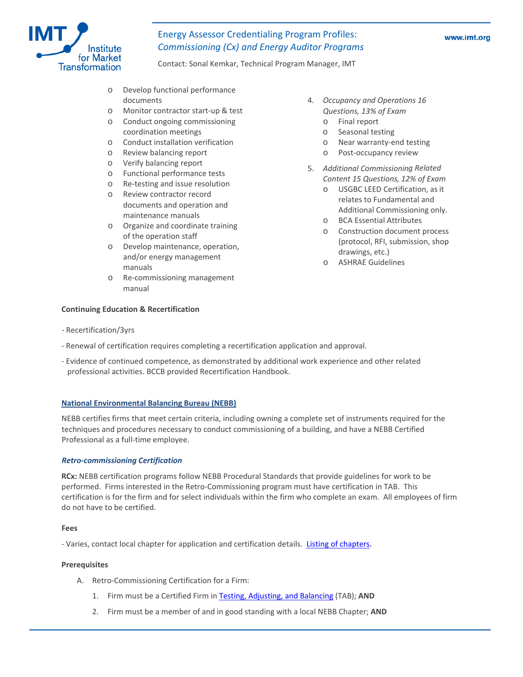

Contact: Sonal Kemkar, Technical Program Manager, IMT

- o Develop functional performance documents
- o Monitor contractor start-up & test
- o Conduct ongoing commissioning coordination meetings
- o Conduct installation verification
- o Review balancing report
- o Verify balancing report
- o Functional performance tests
- o Re-testing and issue resolution
- o Review contractor record documents and operation and maintenance manuals
- o Organize and coordinate training of the operation staff
- o Develop maintenance, operation, and/or energy management manuals
- o Re-commissioning management manual
- *d Operations 16* 4. *Occupancy an Questions, 13% of Exam*
	- o Final report
	- o Seasonal testing
	- o Near warranty-end testing
	- o Post‐occupancy review
- 5. Additional Commissioning Related *12% of Exam Content 15 Questions,*
	- o USGBC LEED Certification, as it Additional Commissioning only. relates to Fundamental and
	- o BCA Essential Attributes
	- o Construction document process (protocol, RFI, submission, shop drawings, etc.)
	- o ASHRAE Guidelines

# Recertification/3yrs ‐

- Renewal of certification requires completing a recertification application and approval.
- Evidence of continued competence, as demonstrated by additional work experience and other related professional activities. BCCB provided Recertification Handbook.

#### **National Environmental Balancing Bureau (NEBB)**

**Conti nuing Education & Recertification** 

NEBB certifies firms that meet certain criteria, including owning a complete set of instruments required for the techniques and procedures necessary to conduct commissioning of a building, and have a NEBB Certified Professional as a full‐time employee.

#### *Retro‐commissioning Certification*

RCx: NEBB certification programs follow NEBB Procedural Standards that provide guidelines for work to be performed. Firms interested in the Retro-Commissioning program must have certification in TAB. This certification is for the firm and for select individuals within the firm who complete an exam. All employees of firm do not have to be certified.

#### **Fees**

- Varies, contact local chapter for application and certification details. Listing of chapters.

#### **Prerequisites**

- A. Retro‐Commissioning Certification for a Firm:
	- 1. Firm must be a Certified Firm in Testing, Adjusting, and Balancing (TAB); AND
	- 2. Firm must be a member of and in good standing with a local NEBB Chapter; **AND**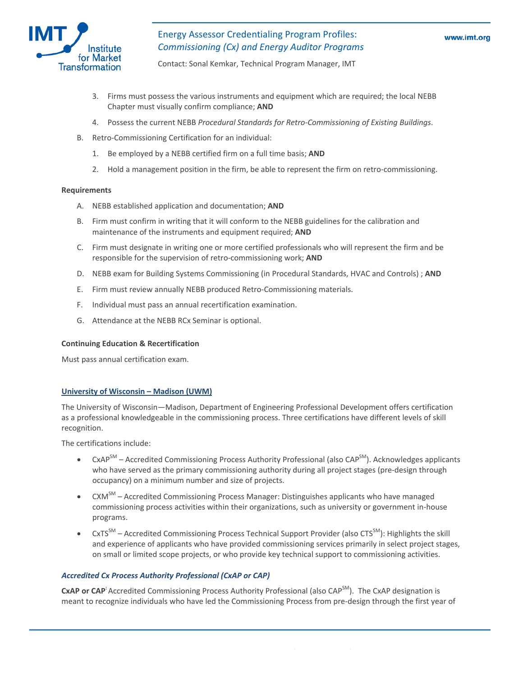

Contact: Sonal Kemkar, Technical Program Manager, IMT

- 3. Firms must possess the various instruments and equipment which are required; the local NEBB Chapter must visually confirm compliance; **AND**
- . Possess the current NEBB *Procedural Standards for Retro‐Commissioning of Existing Buildings*. 4
- B. Retro‐Commissioning Certification for an individual:
	- 1. Be employed by a NEBB certified firm on a full time basis; **AND**
	- 2. Hold a management position in the firm, be able to represent the firm on retro-commissioning.

#### **Requirements**

- **D** A. NEBB established application and documentation; **AN**
- B. Firm must confirm in writing that it will conform to the NEBB guidelines for the calibration and maintenance of the instruments and equipment required; **AND**
- C. Firm must designate in writing one or more certified professionals who will represent the firm and be responsible for the supervision of retro-commissioning work; AND
- D. NEBB exam for Building Systems Commissioning (in Procedural Standards, HVAC and Controls); AND
- E. Firm must review annually NEBB produced Retro‐Commissioning materials.
- F. Individual must pass an annual recertification examination.
- G. Attendance at the NEBB RCx Seminar is optional.

## **Continuing Education & Recertification**

Must pass annual certification exam.

#### **University of Wisconsin – Madison (UWM)**

The University of Wisconsin—Madison, Department of Engineering Professional Development offers certification as a professional knowledgeable in the commissioning process. Three certifications have different levels of skill recognition.

The certifications include:

- CxAP<sup>SM</sup> Accredited Commissioning Process Authority Professional (also CAP<sup>SM</sup>). Acknowledges applicants who have served as the primary commissioning authority during all project stages (pre-design through occupancy) on a minimum number and size of projects.
- CXM<sup>SM</sup> Accredited Commissioning Process Manager: Distinguishes applicants who have managed commissioning process activities within their organizations, such as university or government in-house programs.
- and experience of applicants who have provided commissioning services primarily in select project stages, . on small or limited scope projects, or who provide key technical support to commissioning activities  $c$ xTS<sup>SM</sup> – Accredited Commissioning Process Technical Support Provider (also CTS<sup>SM</sup>): Highlights the skill

#### *Accredited Cx Process Authority Professional (CxAP or CAP)*

CxAP or CAP<sup>:</sup> Accredited Commissioning Process Authority Professional (also CAP<sup>SM</sup>). The CxAP designation is meant to recognize individuals who have led the Commissioning Process from pre‐design through the first year of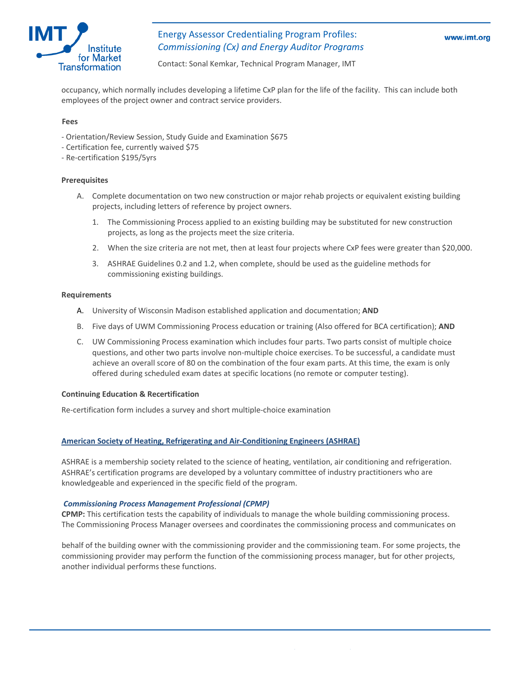

Contact: Sonal Kemkar, Technical Program Manager, IMT

occupancy, which normally includes developing a lifetime CxP plan for the life of the facility. This can include both employees of the project owner and contract service providers.

#### **Fees**

- ‐ Orientation/Review Session, Study Guide and Examination \$675
- ‐ Certification fee, currently waived \$75
- Re‐certification \$195/5yrs ‐

#### **Prerequisites**

- . Complete documentation on two new construction or major rehab projects or equivalent existing building A projects, including letters of reference by project owners.
	- 1. The Commissioning Process applied to an existing building may be substituted for new construction projects, as long as the projects meet the size criteria.
	- 2. When the size criteria are not met, then at least four projects where CxP fees were greater than \$20,000.
	- 3. ASHRAE Guidelines 0.2 and 1.2, when complete, should be used as the guideline methods for commissioning existing buildings.

#### **Requirements**

- A. University of Wisconsin Madison established application and documentation; AND
- B. Five days of UWM Commissioning Process education or training (Also offered for BCA certification); **AND**
- C. UW Commissioning Process examination which includes four parts. Two parts consist of multiple choice questions, and other two parts involve non-multiple choice exercises. To be successful, a candidate must achieve an overall score of 80 on the combination of the four exam parts. At this time, the exam is only offered during scheduled exam dates at specific locations (no remote or computer testing).

#### **Continuing Education & Recertification**

Re‐certification form includes a survey and short multiple‐choice examination

#### **American Society of Heating, Refrigerating and Air‐Conditioning Engineers (ASHRAE)**

ASHRAE is a membership society related to the science of heating, ventilation, air conditioning and refrigeration. ASHRAE's certification programs are developed by a voluntary committee of industry practitioners who are knowledgeable and experienced in the specific field of the program.

### *g Process Management Professional (CPMP) Commissionin*

CPMP: This certification tests the capability of individuals to manage the whole building commissioning process. The Commissioning Process Manager oversees and coordinates the commissioning process and communicates on

commissioning provider may perform the function of the commissioning process manager, but for other projects, behalf of the building owner with the commissioning provider and the commissioning team. For some projects, the another individual performs these functions.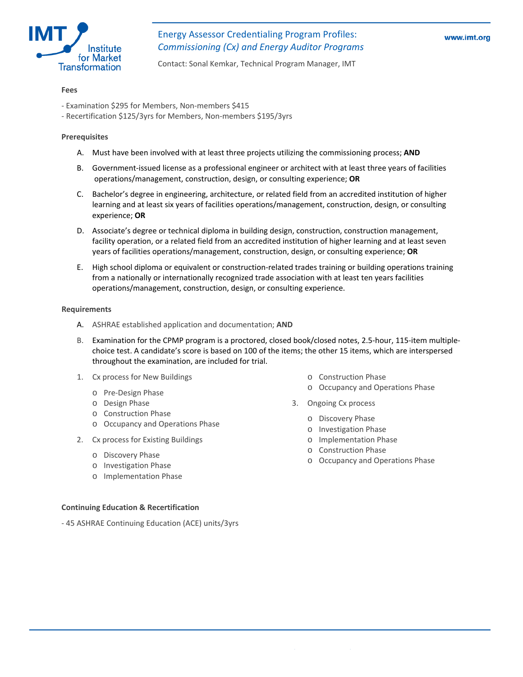

Contact: Sonal Kemkar, Technical Program Manager, IMT

#### **Fees**

- ‐ Examination \$295 for Members, Non‐members \$415
- ‐ Recertification \$125/3yrs for Members, Non‐members \$195/3yrs

## **rerequisites P**

- A. Must have been involved with at least three projects utilizing the commissioning process; **AND**
- Government‐issued license as a professional engineer or architect with at least three years of facilities B. operations/management, construction, design, or consulting experience; **OR** 
	- C. Bachelor's degree in engineering, architecture, or related field from an accredited institution of higher learning and at least six years of facilities operations/management, construction, design, or consulting experience; **OR**
	- D. Associate's degree or technical diploma in building design, construction, construction management, years of facilities operations/management, construction, design, or consulting experience; OR facility operation, or a related field from an accredited institution of higher learning and at least seven
	- operations/management, construction, design, or consulting experience. E. High school diploma or equivalent or construction‐related trades training or building operations training from a nationally or internationally recognized trade association with at least ten years facilities

- A. ASHRAE established application and documentation; **AND**
- ‐ B. Examination for the CPMP program is a proctored, closed book/closed notes, 2.5‐hour, 115‐item multiple choice test. A candidate's score is based on 100 of the items; the other 15 items, which are interspersed throughout the examination, are included for trial.
- 1. Cx process for New Buildings
	- o Pre‐Design Phase
	- o Design Phase
	- o Construction Phase
	- o Occupancy and Operations Phase
- 2. Cx process for Existing Buildings
	- o Discovery Phase
	- o Investigation Phase
	- o Implementation Phase

- **Continuing Education & Recertification**
- 45 ASHRAE Continuing Education (ACE) units/3yrs
- o Construction Phase
- o Occupancy and Operations Phase
- . Ongoing Cx process
	- o Discovery Phase
	- o Investigation Phase
	- o Implementation Phase
	- o Construction Phase
	- o Occupancy and Operations Phase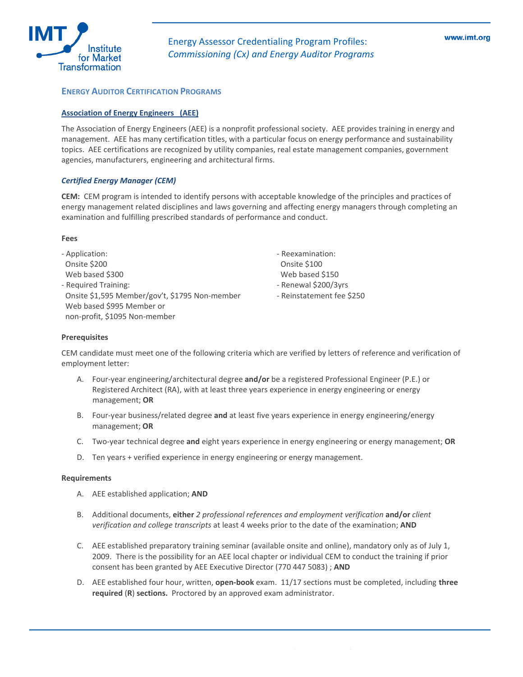

# **ENERGY AUDITOR CERTIFICATION PROGRAMS**

#### **ssociation of Energy Engineers (AEE) A**

The Association of Energy Engineers (AEE) is a nonprofit professional society. AEE provides training in energy and management. AEE has many certification titles, with a particular focus on energy performance and sustainability topics. AEE certifications are recognized by utility companies, real estate management companies, government agencies, manufacturers, engineering and architectural firms.

#### *[C](http://www.aeecenter.org/)ertified Energy [Manager](http://www.aeecenter.org/) (CEM)*

**CEM:** CEM program is intended to identify persons with acceptable knowledge of the principles and practices of energy management related disciplines and laws governing and affecting energy managers through completing an examination and fulfilling prescribed standards of performance and conduct.

#### **Fees**

Web based \$995 Member or non-profit, \$1095 Non-member ‐ Application: Onsite \$200 Web based \$300 ‐ Required Training: Onsite \$1,595 Member/gov't, \$1795 Non‐member ‐ Reinstatement

‐ Reexamination: - Reinstatement fee \$250 Onsite \$100 Web based \$150 ‐ Renewal \$200/3yrs

#### **Prerequisites**

CEM candidate must meet one of the following criteria which are verified by letters of reference and verification of employment letter:

- A. Four-year engineering/architectural degree and/or be a registered Professional Engineer (P.E.) or Registered Architect (RA), with at least three years experience in energy engineering or energy management; **OR**
- B. Four-year business/related degree and at least five years experience in energy engineering/energy management; **OR**
- C. Two-year technical degree and eight years experience in energy engineering or energy management; OR
- D. Ten years + verified experience in energy engineering or energy management.

- A. AEE established application; **AND**
- verification and college *transcripts* at least 4 weeks prior to the date of the examination; AND B. Additional documents, **either** *2 professional references and employment verification* **and/or** *client*
- C. AEE established preparatory training seminar (available onsite and online), mandatory only as of July 1, 2009. There is the possibility for an AEE local chapter or individual CEM to conduct the training if prior consent has been granted by AEE Executive Director (770 447 5083) ; **AND**
- **three** D. AEE established four hour, written, **open‐book** exam. 11/17 sections must be completed, including **required** (**R**) **sections.** Proctored by an approved exam administrator.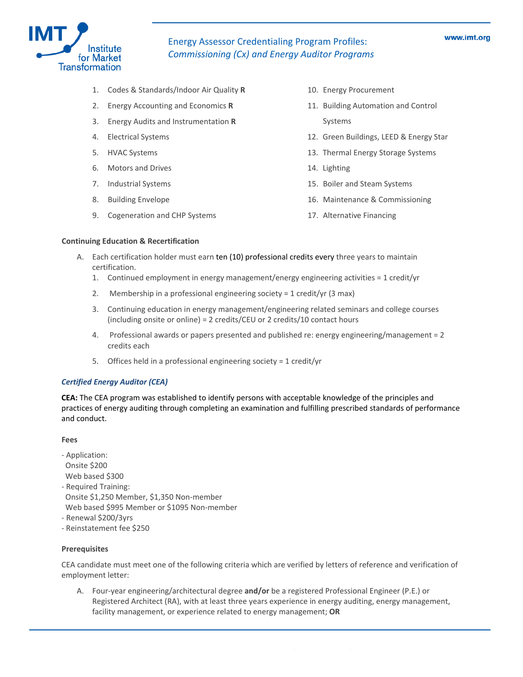

- 1. Codes & Standards/Indoor Air Quality **R**
- 2. Energy Accounting and Economics **R**
- 3. Energy Audits and Instrumentation **R**
- 4. Electrical Systems
- . HVAC Systems 5
- . Motors and Drives 6
- 7. Industrial Systems
- 8. Building Envelope
- 9. Cogeneration and CHP Systems
- 10. Energy Procurement
- 11. Building Automation and Control Systems
- 12. Green Buildings, LEED & Energy Star
- 13. Thermal Energy Storage Systems
- 14. Lighting
- 15. Boiler and Steam Systems
- 16. Maintenance & Commissioning
- 17. Alternative Financing

#### **Continuing Education & Recertification**

- A. Lach certification holder must earn ten (10) professional credits every three years to maintain certification.
	- 1. Continued employment in energy management/energy engineering activities = 1 credit/yr
	- 2. Membership in a professional engineering society = 1 credit/yr (3 max)
	- 3. Continuing education in energy management/engineering related seminars and college courses (including onsite or online) = 2 credits/CEU or 2 credits/10 contact hours
	- 4. Professional awards or papers presented and published re: energy engineering/management = 2 credits each
	- 5. Offices held in a professional engineering society = 1 credit/yr

## *Certified Energy Auditor (CEA)*

CEA: The CEA program was established to identify persons with acceptable knowledge of the principles and practices of energy auditing through completing an examination and fulfilling prescribed standards of performance and conduct.

#### **Fees**

- ‐ Application: Onsite \$200
- Web based \$300
- ‐ Required Training: Onsite \$1,250 Member, \$1,350 Non‐member Web based \$995 Member or \$1095 Non-member
- 
- Renewal \$200/3yrs Reinstatement fee \$250 ‐

## **Prerequisites**

CEA candidate must meet one of the following criteria which are verified by letters of reference and verification of : employment letter

A. Four-year engineering/architectural degree and/or be a registered Professional Engineer (P.E.) or Registered Architect (RA), with at least three years experience in energy auditing, energy management, facility management, or experience related to energy management; OR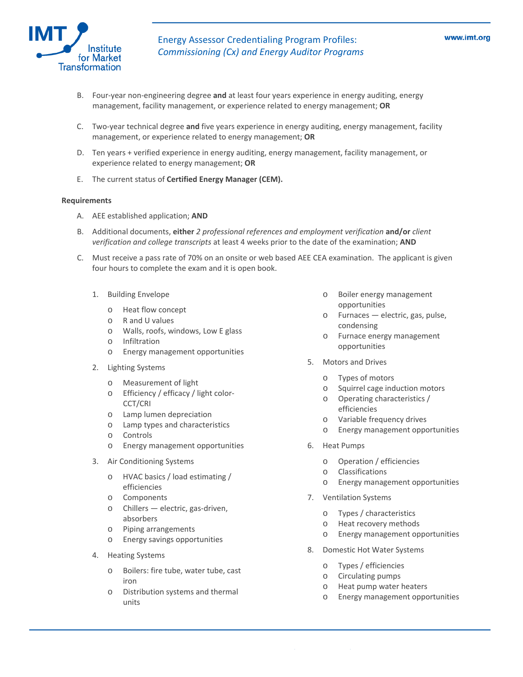

- B. Four-year non-engineering degree and at least four years experience in energy auditing, energy management, facility management, or experience related to energy management; OR
	- C. Two-year technical degree and five years experience in energy auditing, energy management, facility management, or experience related to energy management; **OR**
	- D. Ten years + verified experience in energy auditing, energy management, facility management, or experience related to energy management; **OR**
	- E. The current status of **Certified Energy Manager (CEM).**

- A. AEE established application; **AND**
- B. dditional documents, **either** *2 professional references and employment verification* **and/or** *client* A *verification and college transcripts* at least 4 weeks prior to the date of the examination; **AND**
- C. Must receive a pass rate of 70% on an onsite or web based AEE CEA examination. The applicant is given four hours to complete the exam and it is open book.
	- 1. Building Envelope
		- o Heat flow concept
		- o R and U values
		- o Walls, roofs, windows, Low E glass
		- o Infiltration
		- ommittation<br>
		online Energy management opportunities<br>
		onlines
	- - o Measurement of light o Types of motors
		- o Efficiency / efficacy / light color‐ CCT/CRI
		- o Lamp lumen depreciation
		- o Lamp types and characteristics
		- o Controls
		- o Energy management opportunities
	- 3. Air Conditioning Systems
		- o HVAC basics / load estimating / efficiencies
		- o Components
		- absorbers o Chillers — electric, gas‐driven,
		- o Piping arrangements
		- o Energy savings opportunities
	- 4. Heating Systems
		- o Boilers: fire tube, water tube, cast iron
		- o Distribution systems and thermal units
- o Boiler energy management opportunities
- o Furnaces electric, gas, pulse, condensing
- o Furnace energy management
- 5. Motors and Drives 2. Lighting Systems
	-
	- o Squirrel cage induction motors
	- o Operating characteristics / efficiencies
	- o Variable frequency drives
	- o Energy management opportunities
	- 6. Heat Pumps
		- o Operation / efficiencies
		- o Classifications
		- o Energy management opportunities
	- 7. Ventilation Systems
		- o Types / characteristics
		- o Heat recovery methods
		- o Energy management opportunities
	- 8. Domestic Hot Water Systems
		- o Types / efficiencies
		- o Circulating pumps
		- o Heat pump water heaters
		- o Energy management opportunities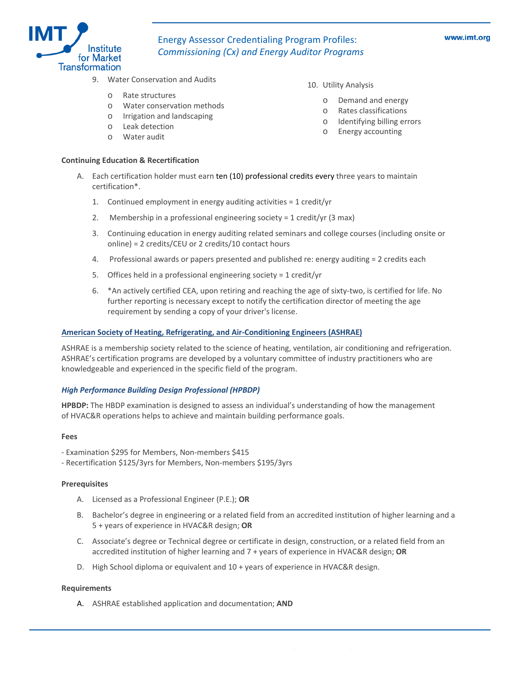

- 9. Water Conservation and Audits
	- o Rate structures
	- o Water conservation methods
	- o Irrigation and landscaping
	- o Leak detection
	- o Water audit

## **continuing Education & Recertification**

#### 10. Utility Analysis

- o Demand and energy
- o Rates classifications
- o Identifying billing errors
- o Energy accounting
- A. Each certification holder must earn ten (10) professional credits every three years to maintain certification\*.
	- 1. Continued employment in energy auditing activities =  $1$  credit/yr
	- 2. Membership in a professional engineering society = 1 credit/yr (3 max)
	- 3. Continuing education in energy auditing related seminars and college courses (including onsite or online) = 2 credits/CEU or 2 credits/10 contact hours
	- 4. Professional awards or papers presented and published re: energy auditing = 2 credits each
	- 5. Offices held in a professional engineering society = 1 credit/yr
	- 6. \*An actively certified CEA, upon retiring and reaching the age of sixty-two, is certified for life. No further reporting is necessary except to notify the certification director of meeting the age requirement by sending a copy of your driver's license.

#### **American Society of Heating, Refrigerating, and Air‐Conditioning Engineers (ASHRAE)**

. ASHRAE is a membership society related to the science of heating, ventilation, air conditioning and refrigeration ASHRAE's certification programs are developed by a voluntary committee of industry practitioners who are knowledgeable and experienced in the specific field of the program.

#### *High Performance Building Design Professional (HPBDP)*

of HVAC&R operations helps to achieve and maintain building performance goals. **HPBDP:** The HBDP examination is designed to assess an individual's understanding of how the management

#### **ees F**

- Examination \$295 for Members, Non‐members \$415 ‐
- ‐ Recertification \$125/3yrs for Members, Non‐members \$195/3yrs

#### **Prerequisites**

- A. Licensed as a Professional Engineer (P.E.); **OR**
- B. Bachelor's degree in engineering or a related field from an accredited institution of higher learning and a 5 + years of experience in HVAC&R design; **OR**
- C. Associate's degree or Technical degree or certificate in design, construction, or a related field from an accredited institution of higher learning and 7 + years of experience in HVAC&R design; **OR**
- D. High School diploma or equivalent and  $10 +$  years of experience in HVAC&R design.

#### **equirements R**

A. ASHRAE established application and documentation; **AND**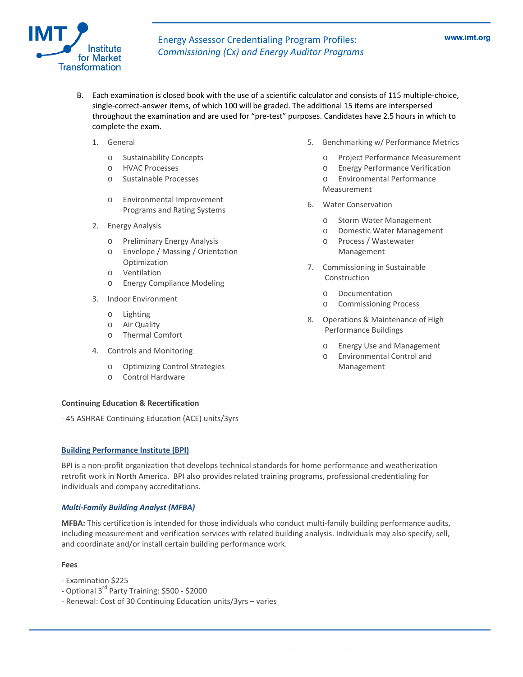

- single‐correct‐answer items, of which 100 will be graded. The additional 15 items are interspersed throughout the examination and are used for "pre-test" purposes. Candidates have 2.5 hours in which to B. Each examination is closed book with the use of a scientific calculator and consists of 115 multiple‐choice, complete the exam.
	- - o Sustainability Concepts
		- HVAC Processes o
		- o Sustainable Processes
		- o Environmental Improvement Programs and Rating Systems
	- 2. Energy Analysis
		- o Preliminary Energy Analysis
		- o Envelope / Massing / Orientation Optimization
		- o Ventilation
		- o Energy Compliance Modeling
	- 3. Indoor Environment
		- o Lighting
		- o Air Quality
		- o Thermal Comfort
	- 4. Controls and Monitoring
		- o Optimizing Control Strategies
		- o Control Hardware

## **Conti nuing Education & Recertification**

- 45 ASHRAE Continuing Education (ACE) units/3yrs

## **Buil ding Performance Institute (BPI)**

BPI is a non-profit organization that develops technical standards for home performance and weatherization retrofit work in North America. BPI also provides related training programs, professional credentialing for individuals and company accreditations.

## *ulti‐Family Building Analyst (MFBA) M*

MFBA: This certification is intended for those individuals who conduct multi-family building performance audits, including measurement and verification services with related building analysis. Individuals may also specify, sell, and coordinate and/or install certain building performance work.

## **Fees**

- ‐ Examination \$225
- ‐ Optional 3rd Party Training: \$500 ‐ \$2000
- Renewal: Cost of 30 Continuing Education units/3yrs varies
- 1. General **Performance Metrics 1. Benchmarking w/ Performance Metrics** 
	- o Project Performance Measurement
	- o Energy Performance Verification
	- o Environmental Performance Measurement
	- 6. Water Conservation
		- o Storm Water Management
		- o Domestic Water Management
		- o Process / Wastewater Management
	- 7. Commissioning in Sustainable Construction
		- o Documentation
		- o Commissioning Process
	- 8. Operations & Maintenance of High Performance Buildings
		- o Energy Use and Management
		- o Environmental Control and Management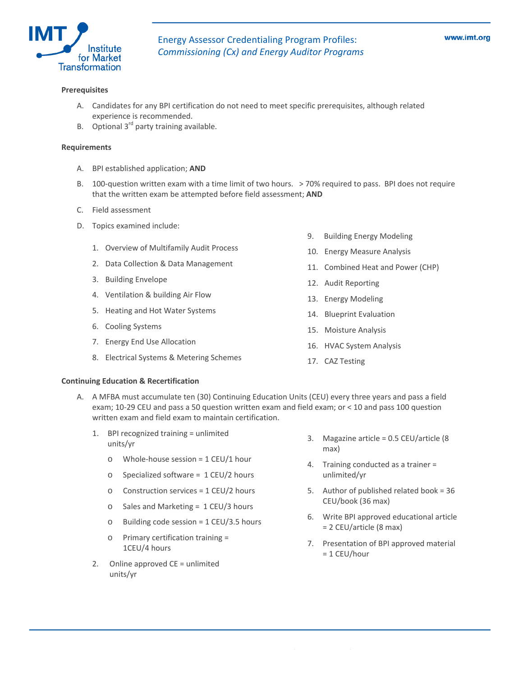

#### **Prerequisites**

- A. Candidates for any BPI certification do not need to meet specific prerequisites, although related experience is recommended.
- B. Optional  $3<sup>rd</sup>$  party training available.

## **Requirements**

- A. BPI established application; **AND**
- B. 100-question written exam with a time limit of two hours. > 70% required to pass. BPI does not require that the written exam be attempted before field assessment; **AND**
- C. Field assessment
- D. Topics examined include:
	- 1. Overview of Multifamily Audit Process
	- 2. Data Collection & Data Management
	- 3. Building Envelope
	- 4. Ventilation & building Air Flow
	- 5. Heating and Hot Water Systems
	- 6. Cooling Systems
	- 7. Energy End Use Allocation
	- 8. Electrical Systems & Metering Schemes
- 9. Building Energy Modeling
- 10. Energy Measure Analysis
- 11. Combined Heat and Power (CHP)
- 12. Audit Reporting
- 13. Energy Modeling
- 14. Blueprint Evaluation
- 15. Moisture Analysis
- 16. HVAC System Analysis
- 17. CAZ Testing

#### **Continuing Education & Recertification**

- A. A MFBA must accumulate ten (30) Continuing Education Units (CEU) every three years and pass a field exam; 10-29 CEU and pass a 50 question written exam and field exam; or < 10 and pass 100 question written exam and field exam to maintain certification.
	- 1. BPI recognized training = unlimited units/yr
		- $\circ$  Whole-house session = 1 CEU/1 hour
		- o Specialized software = 1 CEU/2 hours
		- $\circ$  Construction services = 1 CEU/2 hours
		- o Sales and Marketing = 1 CEU/3 hours
		- $o$  Building code session = 1 CEU/3.5 hours
		- o Primary certification training = 1CEU/4 hours
	- 2. Online approved  $CE =$  unlimited units/yr
- 3. Magazine article = 0.5 CEU/article (8 max)
- 4. Training conducted as a trainer = unlimited/yr
- 5. Author of published related book = 36 CEU/book (36 max)
- 6. Write BPI approved educational article = 2 CEU/article (8 max)
- 7. Presentation of BPI approved material = 1 CEU/hour